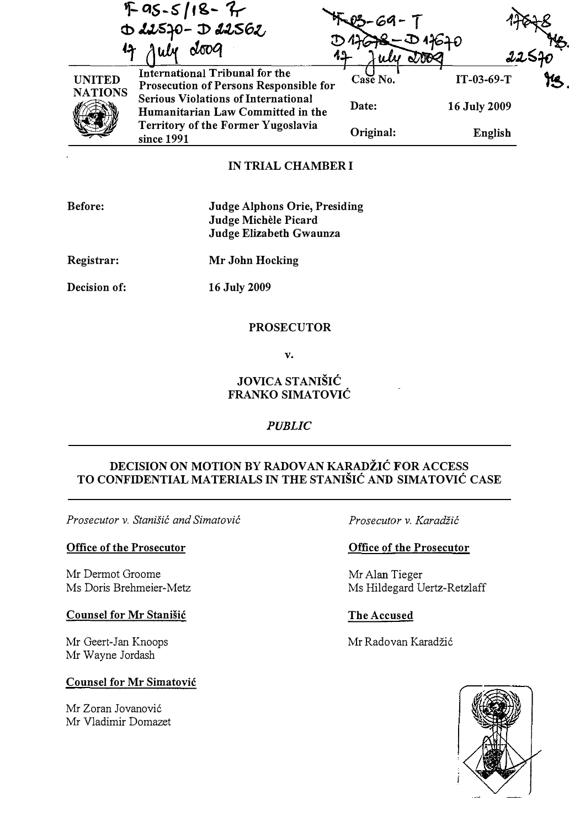$F$  as-s/18 -  $7$  $P_2 - 69 - T$ -1ffi.g.  $D$  despo-  $D$  des62  $4678 - D4640$  $\frac{47}{44}$  and  $\frac{44}{44}$  and  $\frac{44}{44}$  and  $\frac{225}{90}$ UNITED **NATIONS** International Tribunal for the  $\frac{1}{100}$  IT-03-69-T Prosecution of Persons Responsible for  $\frac{1}{100}$  IT-03-69-T  $\begin{pmatrix} 1 & 1 \\ 1 & 1 \end{pmatrix}$ Serious Violations of International Humanitarian Law Committed in the Territory of the Former Yugoslavia since 1991 Date: 16 July 2009 ᆓ Original: English

### IN TRIAL CHAMBER I

| Before: | Judge Alphons Orie, Presiding |
|---------|-------------------------------|
|         | Judge Michèle Picard          |
|         | Judge Elizabeth Gwaunza       |
|         |                               |

Registrar: Mr John Hocking

Decision of:

16 July 2009

#### PROSECUTOR

v.

# JOVICA STANIŠIĆ FRANKO SIMATOVIC

## PUBLIC

# DECISION ON MOTION BY RADOVAN KARADŽIĆ FOR ACCESS TO CONFIDENTIAL MATERIALS IN THE STANISIC AND SIMATOVIC CASE

Prosecutor v. Stanišić and Simatović

#### Office of the Prosecutor

Mr Dermot Groome Ms Doris Brehmeier-Metz

#### Counsel for Mr Stanisic

Mr Geert-Jan Knoops Mr Wayne Jordash

### Counsel for Mr Simatovic

Mr Zoran Jovanovic Mr Vladimir Domazet Prosecutor v. Karadžić

### Office of the Prosecutor

Mr Alan Tieger Ms Hildegard Dertz-Retzlaff

### The Accused

Mr Radovan Karadžić

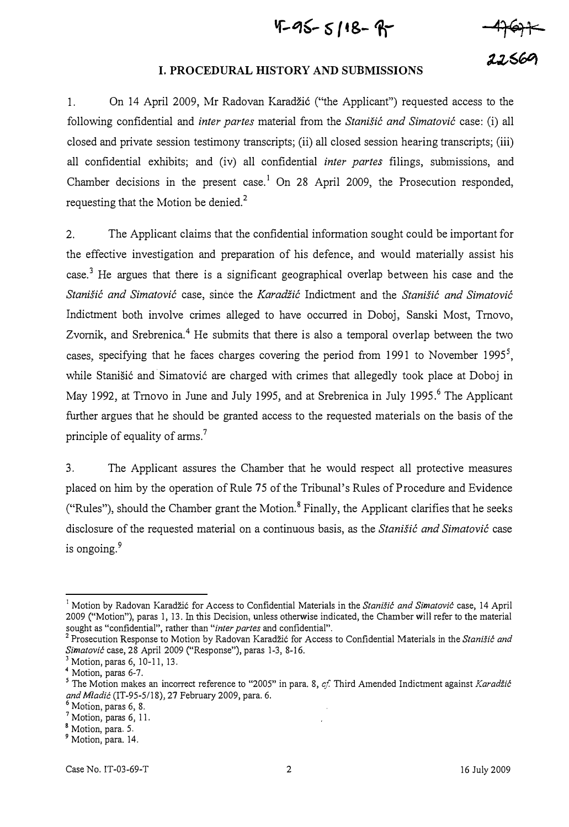$4-95 - 5118 - 8$ 

#### I. PROCEDURAL HISTORY AND SUBMISSIONS

1. On 14 April 2009, Mr Radovan Karadzi6 ("the Applicant") requested access to the following confidential and inter partes material from the Stanišić and Simatović case: (i) all closed and private session testimony transcripts; (ii) all closed session hearing transcripts; (iii) all confidential exhibits; and (iv) all confidential *inter partes* filings, submissions, and Chamber decisions in the present case.<sup>1</sup> On 28 April 2009, the Prosecution responded, requesting that the Motion be denied.<sup>2</sup>

2. The Applicant claims that the confidential information sought could be important for the effective investigation and preparation of his defence, and would materially assist his case.<sup>3</sup> He argues that there is a significant geographical overlap between his case and the Stanišić and Simatović case, since the Karadžić Indictment and the Stanišić and Simatović Indictment both involve crimes alleged to have occurred in Doboj, Sanski Most, Tmovo, Zvornik, and Srebrenica.<sup>4</sup> He submits that there is also a temporal overlap between the two cases, specifying that he faces charges covering the period from 1991 to November 1995<sup>5</sup>, while Stanišić and Simatović are charged with crimes that allegedly took place at Doboj in May 1992, at Trnovo in June and July 1995, and at Srebrenica in July 1995.<sup>6</sup> The Applicant further argues that he should be granted access to the requested materials on the basis of the principle of equality of arms.<sup>7</sup>

3. The Applicant assures the Chamber that he would respect all protective measures placed on him by the operation of Rule 75 of the Tribunal's Rules of Procedure and Evidence ("Rules"), should the Chamber grant the Motion.<sup>8</sup> Finally, the Applicant clarifies that he seeks disclosure of the requested material on a continuous basis, as the Stanišić and Simatović case is ongoing.<sup>9</sup>

Motion by Radovan Karadžić for Access to Confidential Materials in the Stanišić and Simatović case, 14 April 2009 ("Motion"), paras 1, 13. In this Decision, unless otherwise indicated, the Chamber will refer to the material sought as "confidential", rather than "inter partes and confidential".

 $^2$  Prosecution Response to Motion by Radovan Karadžić for Access to Confidential Materials in the Stanišić and Simatović case, 28 April 2009 ("Response"), paras 1-3, 8-16.

<sup>&</sup>lt;sup>3</sup> Motion, paras 6, 10-11, 13.

 $<sup>4</sup>$  Motion, paras 6-7.</sup>

<sup>&</sup>lt;sup>5</sup> The Motion makes an incorrect reference to "2005" in para. 8, cf. Third Amended Indictment against Karadzić and Mladić (IT-95-5/18), 27 February 2009, para. 6.

 $<sup>6</sup>$  Motion, paras 6, 8.</sup>

<sup>7</sup>Motion, paras 6, II.

<sup>&</sup>lt;sup>8</sup> Motion, para. 5.

<sup>&</sup>lt;sup>9</sup> Motion, para. 14.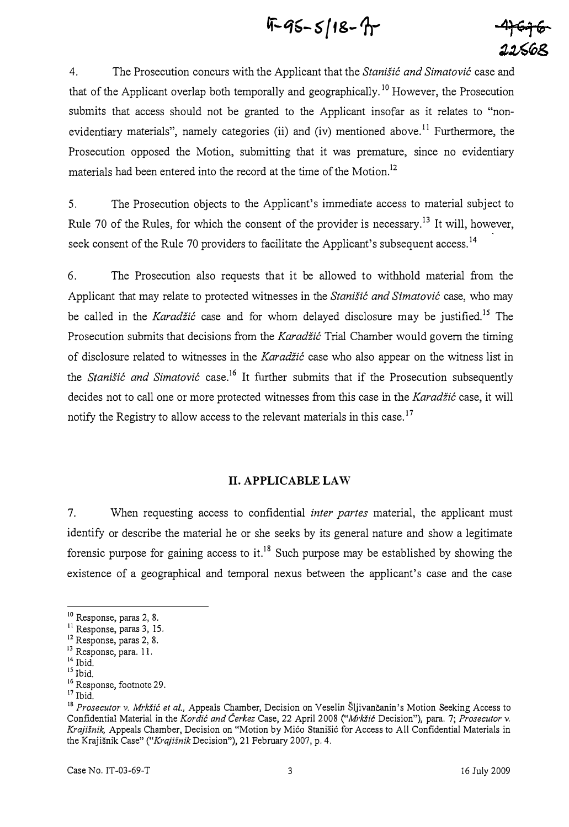$4-95-5/18-7$ 

4. The Prosecution concurs with the Applicant that the Stanistic and Simatovic case and that of the Applicant overlap both temporally and geographically.<sup>10</sup> However, the Prosecution submits that access should not be granted to the Applicant insofar as it relates to "nonevidentiary materials", namely categories (ii) and (iv) mentioned above.<sup>11</sup> Furthermore, the Prosecution opposed the Motion, submitting that it was premature, since no evidentiary materials had been entered into the record at the time of the Motion.<sup>12</sup>

5. The Prosecution objects to the Applicant's immediate access to material subject to Rule 70 of the Rules, for which the consent of the provider is necessary.<sup>13</sup> It will, however, seek consent of the Rule 70 providers to facilitate the Applicant's subsequent access.<sup>14</sup>

6. The Prosecution also requests that it be allowed to withhold material from the Applicant that may relate to protected witnesses in the Stanistic and Simatovic case, who may be called in the Karadžić case and for whom delayed disclosure may be justified.<sup>15</sup> The Prosecution submits that decisions from the Karadžić Trial Chamber would govern the timing of disclosure related to witnesses in the Karadžić case who also appear on the witness list in the *Stanišić and Simatović* case.<sup>16</sup> It further submits that if the Prosecution subsequently decides not to call one or more protected witnesses from this case in the Karadžić case, it will notify the Registry to allow access to the relevant materials in this case.<sup>17</sup>

#### II. APPLICABLE LAW

7. When requesting access to confidential *inter partes* material, the applicant must identify or describe the material he or she seeks by its general nature and show a legitimate forensic purpose for gaining access to it.<sup>18</sup> Such purpose may be established by showing the existence of a geographical and temporal nexus between the applicant's case and the case

 $10$  Response, paras 2, 8.

<sup>&</sup>lt;sup>11</sup> Response, paras 3, 15.

<sup>&</sup>lt;sup>12</sup> Response, paras 2, 8.

<sup>&</sup>lt;sup>13</sup> Response, para. 11.

 $14$  Ibid.

<sup>&</sup>lt;sup>15</sup> Ibid.

<sup>&</sup>lt;sup>16</sup> Response, footnote 29.

 $17$  Ibid.

<sup>&</sup>lt;sup>18</sup> Prosecutor v. Mrkšić et al., Appeals Chamber, Decision on Veselin Šljivančanin's Motion Seeking Access to Confidential Material in the Kordic and Čerkez Case, 22 April 2008 ("Mrkšić Decision"), para. 7; Prosecutor v. Krajisnik, Appeals Chamber, Decision on "Motion by Mico StaniSic for Access to All Confidential Materials in the Krajišnik Case" ("*Krajišnik* Decision"), 21 February 2007, p. 4.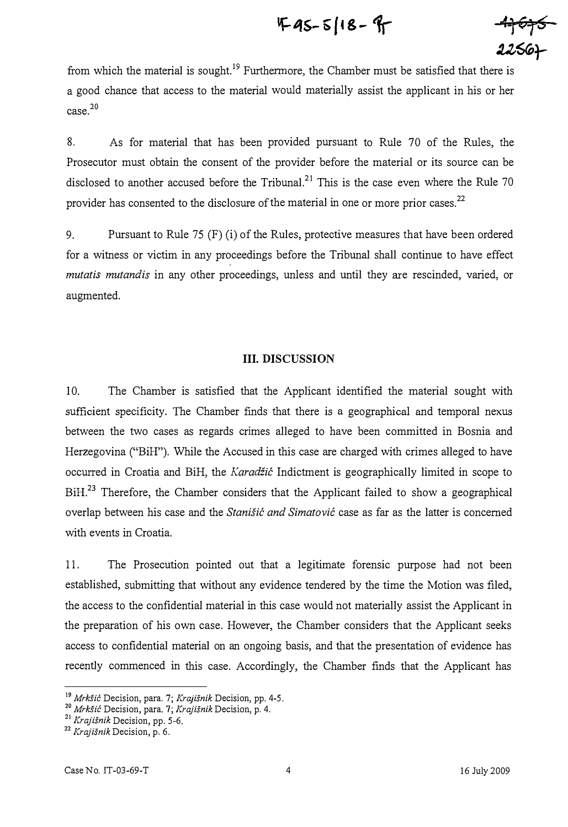$$
F-45-5/18-9
$$

 $47676$  $2256 +$ 

from which the material is sought.<sup>19</sup> Furthermore, the Chamber must be satisfied that there is a good chance that access to the material would materially assist the applicant in his or her  $case.<sup>20</sup>$ 

8. As for material that has been provided pursuant to Rule 70 of the Rules, the Prosecutor must obtain the consent of the provider before the material or its source can be disclosed to another accused before the Tribunal.<sup>21</sup> This is the case even where the Rule 70 provider has consented to the disclosure of the material in one or more prior cases.<sup>22</sup>

9. Pursuant to Rule 75 (F) (i) of the Rules, protective measures that have been ordered for a witness or victim in any proceedings before the Tribunal shall continue to have effect mutatis mutandis in any other proceedings, unless and until they are rescinded, varied, or augmented.

#### III. DISCUSSION

10. The Chamber is satisfied that the Applicant identified the material sought with sufficient specificity. The Chamber finds that there is a geographical and temporal nexus between the two cases as regards crimes alleged to have been committed in Bosnia and Herzegovina ("BiH"). While the Accused in this case are charged with crimes alleged to have occurred in Croatia and BiH, the Karadžić Indictment is geographically limited in scope to BiH.<sup>23</sup> Therefore, the Chamber considers that the Applicant failed to show a geographical overlap between his case and the Stanišić and Simatović case as far as the latter is concerned with events in Croatia.

II. The Prosecution pointed out that a legitimate forensic purpose had not been established, submitting that without any evidence tendered by the time the Motion was filed, the access to the confidential material in this case would not materially assist the Applicant in the preparation of his own case. However, the Chamber considers that the Applicant seeks access to confidential material on an ongoing basis, and that the presentation of evidence has recently commenced in this case. Accordingly, the Chamber finds that the Applicant has

<sup>&</sup>lt;sup>19</sup> Mrkšić Decision, para. 7; Krajišnik Decision, pp. 4-5.

<sup>20</sup> Mrkšić Decision, para. 7; Krajišnik Decision, p. 4.

<sup>&</sup>lt;sup>21</sup> Krajišnik Decision, pp. 5-6.

 $22$  Krajišnik Decision, p. 6.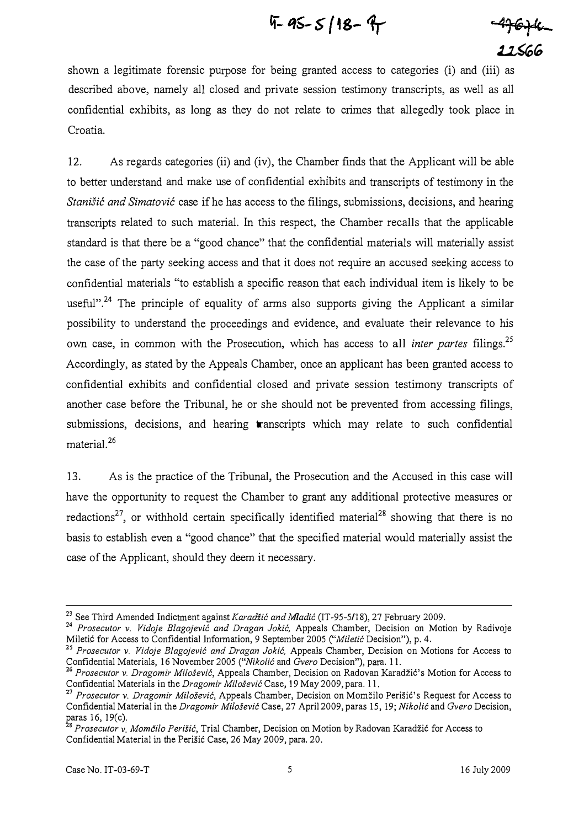$$
4 - 95 - 5/18 - 9
$$

 $-49644$ 22566

shown a legitimate forensic purpose for being granted access to categories (i) and (iii) as described above, namely all closed and private session testimony transcripts, as well as all confidential exhibits, as long as they do not relate to crimes that allegedly took place in Croatia.

12. As regards categories (ii) and (iv), the Chamber finds that the Applicant will be able to better understand and malce use of confidential exhibits and transcripts of testimony in the Stanišić and Simatović case if he has access to the filings, submissions, decisions, and hearing transcripts related to such material. In this respect, the Chamber recalls that the applicable standard is that there be a "good chance" that the confidential materials will materially assist the case of the party seeking access and that it does not require an accused seeking access to confidential materials "to establish a specific reason that each individual item is likely to be useful".<sup>24</sup> The principle of equality of arms also supports giving the Applicant a similar possibility to understand the proceedings and evidence, and evaluate their relevance to his own case, in common with the Prosecution, which has access to all *inter partes* filings.<sup>25</sup> Accordingly, as stated by the Appeals Chamber, once an applicant has been granted access to confidential exhibits and confidential closed and private session testimony transcripts of another case before the Tribunal, he or she should not be prevented from accessing filings, submissions, decisions, and hearing transcripts which may relate to such confidential material.<sup>26</sup>

13. As is the practice of the Tribunal, the Prosecution and the Accused in this case will have the opportunity to request the Chamber to grant any additional protective measures or redactions<sup>27</sup>, or withhold certain specifically identified material<sup>28</sup> showing that there is no basis to establish even a "good chance" that the specified material would materially assist the case of the Applicant, should they deem it necessary.

<sup>&</sup>lt;sup>23</sup> See Third Amended Indictment against Karadžić and Mladić (IT-95-5/18), 27 February 2009.

<sup>&</sup>lt;sup>24</sup> Prosecutor v. Vidoje Blagojević and Dragan Jokić, Appeals Chamber, Decision on Motion by Radivoje Miletić for Access to Confidential Information, 9 September 2005 ("Miletić Decision"), p. 4.

<sup>&</sup>lt;sup>25</sup> Prosecutor v. Vidoje Blagojević and Dragan Jokić, Appeals Chamber, Decision on Motions for Access to Confidential Materials, 16 November 2005 ("Nikolić and Gvero Decision"), para. 11.

 $26$  Prosecutor v. Dragomir Milošević, Appeals Chamber, Decision on Radovan Karadžić's Motion for Access to Confidential Materials in the Dragomir Milošević Case, 19 May 2009, para. 11.

<sup>27</sup> Prosecutor v. Dragomir Milošević, Appeals Chamber, Decision on Momčilo Perišić's Request for Access to Confidential Material in the Dragomir Milosevic Case, 27 April 2009, paras 15, 19; Nikolic and Gvero Decision, paras 16, 19(c).

<sup>&</sup>lt;sup>26</sup> Prosecutor v. Momčilo Perišić, Trial Chamber, Decision on Motion by Radovan Karadžić for Access to Confidential Material in the Perišić Case, 26 May 2009, para. 20.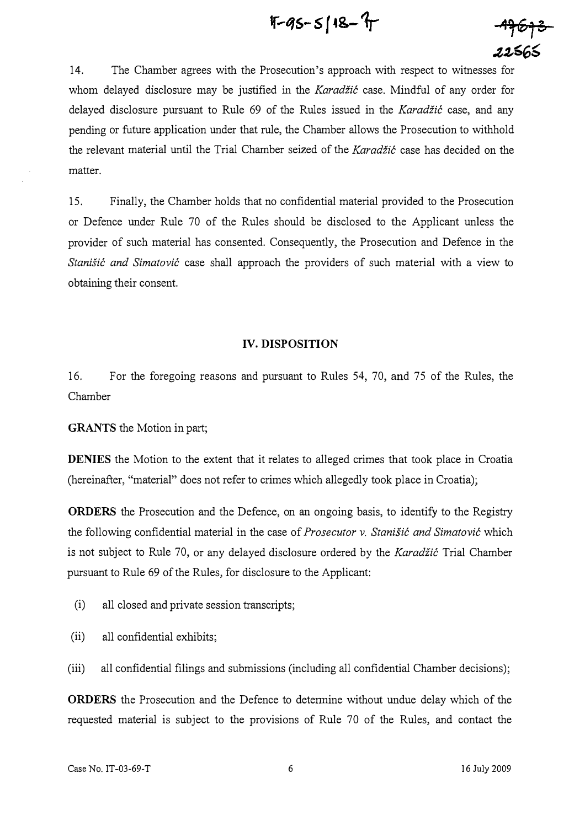$$
4 - 45 - 5
$$

<del>-17613</del> 22565

14. The Chamber agrees with the Prosecution's approach with respect to witnesses for whom delayed disclosure may be justified in the Karadžić case. Mindful of any order for delayed disclosure pursuant to Rule 69 of the Rules issued in the Karadžić case, and any pending or future application under that rule, the Chamber allows the Prosecution to withhold the relevant material until the Trial Chamber seized of the Karadžić case has decided on the matter.

15. Finally, the Chamber holds that no confidential material provided to the Prosecution or Defence under Rule 70 of the Rules should be disclosed to the Applicant unless the provider of such material has consented. Consequently, the Prosecution and Defence in the Stanišić and Simatović case shall approach the providers of such material with a view to obtaining their consent.

#### IV. DISPOSITION

16. For the foregoing reasons and pursuant to Rules 54, 70, and 75 of the Rules, the Chamber

GRANTS the Motion in part;

DENIES the Motion to the extent that it relates to alleged crimes that took place in Croatia (hereinafter, "material" does not refer to crimes which allegedly took place in Croatia);

ORDERS the Prosecution and the Defence, on an ongoing basis, to identify to the Registry the following confidential material in the case of *Prosecutor v. Stanistic and Simatovic* which is not subject to Rule 70, or any delayed disclosure ordered by the Karadžić Trial Chamber pursuant to Rule 69 of the Rules, for disclosure to the Applicant:

- (i) all closed and private session transcripts;
- (ii) all confidential exhibits;
- (iii) all confidential filings and submissions (including all confidential Chamber decisions);

ORDERS the Prosecution and the Defence to determine without undue delay which of the requested material is subject to the provisions of Rule 70 of the Rules, and contact the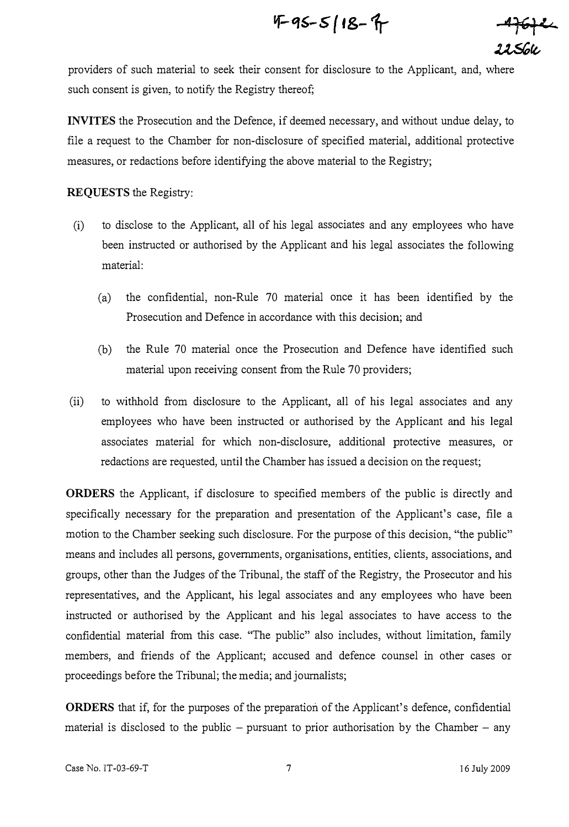$$
4 - 3 - 5 = 18 - 7
$$

<del>-4 fo†</del>ee<br>11Sok

providers of such material to seek their consent for disclosure to the Applicant, and, where such consent is given, to notify the Registry thereof;

INVITES the Prosecution and the Defence, if deemed necessary, and without undue delay, to file a request to the Chamber for non-disclosure of specified material, additional protective measures, or redactions before identifying the above material to the Registry;

### REQUESTS the Registry:

- (i) to disclose to the Applicant, all of his legal associates and any employees who have been instructed or authorised by the Applicant and his legal associates the following material:
	- (a) the confidential, non-Rule 70 material once it has been identified by the Prosecution and Defence in accordance with this decision; and
	- (b) the Rule 70 material once the Prosecution and Defence have identified such material upon receiving consent from the Rule 70 providers;
- (ii) to withhold from disclosure to the Applicant, all of his legal associates and any employees who have been instructed or authorised by the Applicant and his legal associates material for which non-disclosure, additional protective measures, or redactions are requested, until the Chamber has issued a decision on the request;

ORDERS the Applicant, if disclosure to specified members of the public is directly and specifically necessary for the preparation and presentation of the Applicant's case, file a motion to the Chamber seeking such disclosure. For the purpose of this decision, "the public" means and includes all persons, governments, organisations, entities, clients, associations, and groups, other than the Judges of the Tribunal, the staff of the Registry, the Prosecutor and his representatives, and the Applicant, his legal associates and any employees who have been instructed or authorised by the Applicant and his legal associates to have access to the confidential material from this case. "The public" also includes, without limitation, family members, and friends of the Applicant; accused and defence counsel in other cases or proceedings before the Tribunal; the media; and joumalists;

ORDERS that if, for the purposes of the preparation of the Applicant's defence, confidential material is disclosed to the public  $-$  pursuant to prior authorisation by the Chamber  $-$  any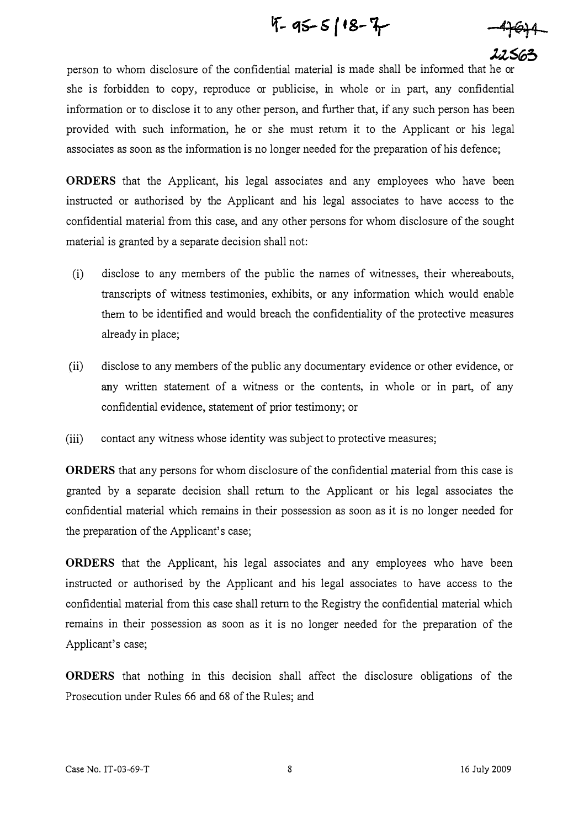$4 - 95 - 518 - 7$ 

4<del>764</del>

I2563 person to whom disclosure of the confidential material is made shall be informed that he or she is forbidden to copy, reproduce or publicise, in whole or in part, any confidential information or to disclose it to any other person, and further that, if any such person has been provided with such information, he or she must return it to the Applicant or his legal associates as soon as the information is no longer needed for the preparation of his defence;

ORDERS that the Applicant, his legal associates and any employees who have been instructed or authorised by the Applicant and his legal associates to have access to the confidential material from this case, and any other persons for whom disclosure of the sought material is granted by a separate decision shall not;

- (i) disclose to any members of the public the names of witnesses, their whereabouts, transcripts of witness testimonies, exhibits, or any information which would enable them to be identified and would breach the confidentiality of the protective measures already in place;
- (ii) disclose to any members of the public any documentary evidence or other evidence, or any written statement of a witness or the contents, in whole or in part, of any confidential evidence, statement of prior testimony; or
- (iii) contact any witness whose identity was subject to protective measures;

ORDERS that any persons for whom disclosure of the confidential material from this case is granted by a separate decision shall return to the Applicant or his legal associates the confidential material which remains in their possession as soon as it is no longer needed for the preparation of the Applicant's case;

ORDERS that the Applicant, his legal associates and any employees who have been instructed or authorised by the Applicant and his legal associates to have access to the confidential material from this case shall return to the Registry the confidential material which remains in their possession as soon as it is no longer needed for the preparation of the Applicant's case;

ORDERS that nothing in this decision shall affect the disclosure obligations of the Prosecution under Rules 66 and 68 of the Rules; and